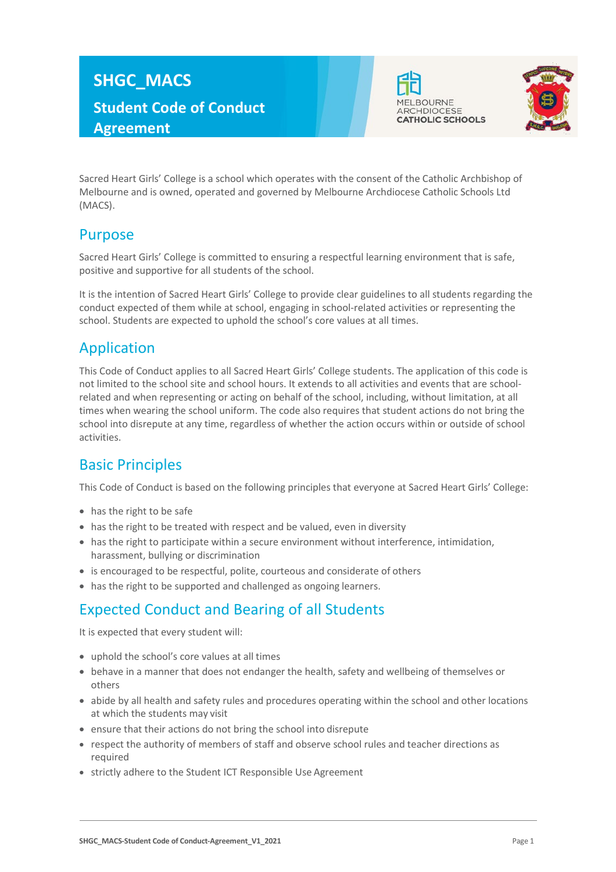# **SHGC\_MACS Student Code of Conduct Agreement**





Sacred Heart Girls' College is a school which operates with the consent of the Catholic Archbishop of Melbourne and is owned, operated and governed by Melbourne Archdiocese Catholic Schools Ltd (MACS).

### Purpose

Sacred Heart Girls' College is committed to ensuring a respectful learning environment that is safe, positive and supportive for all students of the school.

It is the intention of Sacred Heart Girls' College to provide clear guidelines to all students regarding the conduct expected of them while at school, engaging in school-related activities or representing the school. Students are expected to uphold the school's core values at all times.

## Application

This Code of Conduct applies to all Sacred Heart Girls' College students. The application of this code is not limited to the school site and school hours. It extends to all activities and events that are schoolrelated and when representing or acting on behalf of the school, including, without limitation, at all times when wearing the school uniform. The code also requires that student actions do not bring the school into disrepute at any time, regardless of whether the action occurs within or outside of school activities.

# Basic Principles

This Code of Conduct is based on the following principles that everyone at Sacred Heart Girls' College:

- has the right to be safe
- has the right to be treated with respect and be valued, even in diversity
- has the right to participate within a secure environment without interference, intimidation, harassment, bullying or discrimination
- is encouraged to be respectful, polite, courteous and considerate of others
- has the right to be supported and challenged as ongoing learners.

# Expected Conduct and Bearing of all Students

It is expected that every student will:

- uphold the school's core values at all times
- behave in a manner that does not endanger the health, safety and wellbeing of themselves or others
- abide by all health and safety rules and procedures operating within the school and other locations at which the students may visit
- ensure that their actions do not bring the school into disrepute
- respect the authority of members of staff and observe school rules and teacher directions as required
- strictly adhere to the Student ICT Responsible Use Agreement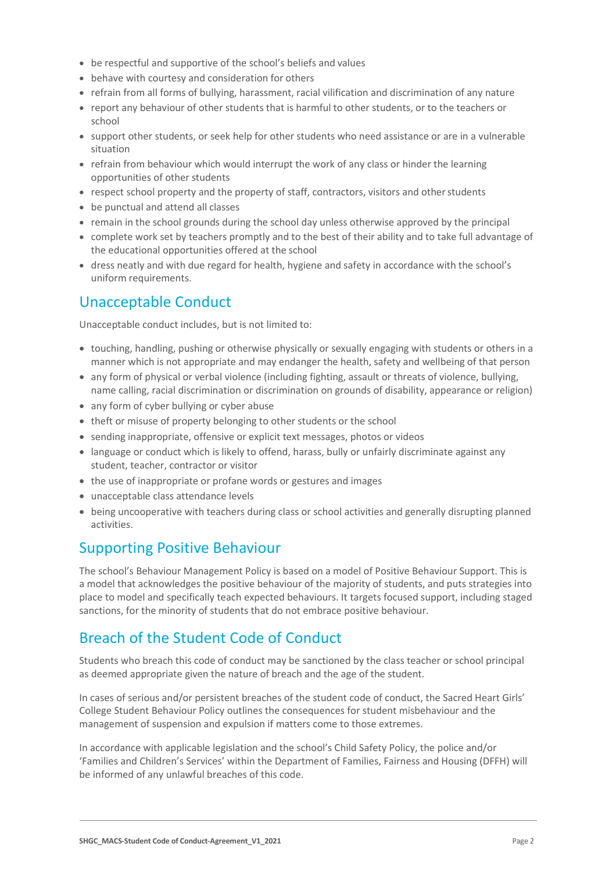- be respectful and supportive of the school's beliefs and values
- behave with courtesy and consideration for others
- refrain from all forms of bullying, harassment, racial vilification and discrimination of any nature
- report any behaviour of other students that is harmful to other students, or to the teachers or school
- support other students, or seek help for other students who need assistance or are in a vulnerable situation
- refrain from behaviour which would interrupt the work of any class or hinder the learning opportunities of other students
- respect school property and the property of staff, contractors, visitors and other students
- be punctual and attend all classes
- remain in the school grounds during the school day unless otherwise approved by the principal
- complete work set by teachers promptly and to the best of their ability and to take full advantage of the educational opportunities offered at the school
- dress neatly and with due regard for health, hygiene and safety in accordance with the school's uniform requirements.

### Unacceptable Conduct

Unacceptable conduct includes, but is not limited to:

- touching, handling, pushing or otherwise physically or sexually engaging with students or others in a manner which is not appropriate and may endanger the health, safety and wellbeing of that person
- any form of physical or verbal violence (including fighting, assault or threats of violence, bullying, name calling, racial discrimination or discrimination on grounds of disability, appearance or religion)
- any form of cyber bullying or cyber abuse
- theft or misuse of property belonging to other students or the school
- sending inappropriate, offensive or explicit text messages, photos or videos
- language or conduct which is likely to offend, harass, bully or unfairly discriminate against any student, teacher, contractor or visitor
- the use of inappropriate or profane words or gestures and images
- unacceptable class attendance levels
- being uncooperative with teachers during class or school activities and generally disrupting planned activities.

### Supporting Positive Behaviour

The school's Behaviour Management Policy is based on a model of Positive Behaviour Support. This is a model that acknowledges the positive behaviour of the majority of students, and puts strategies into place to model and specifically teach expected behaviours. It targets focused support, including staged sanctions, for the minority of students that do not embrace positive behaviour.

### Breach of the Student Code of Conduct

Students who breach this code of conduct may be sanctioned by the class teacher or school principal as deemed appropriate given the nature of breach and the age of the student.

In cases of serious and/or persistent breaches of the student code of conduct, the Sacred Heart Girls' College Student Behaviour Policy outlines the consequences for student misbehaviour and the management of suspension and expulsion if matters come to those extremes.

In accordance with applicable legislation and the school's Child Safety Policy, the police and/or 'Families and Children's Services' within the Department of Families, Fairness and Housing (DFFH) will be informed of any unlawful breaches of this code.